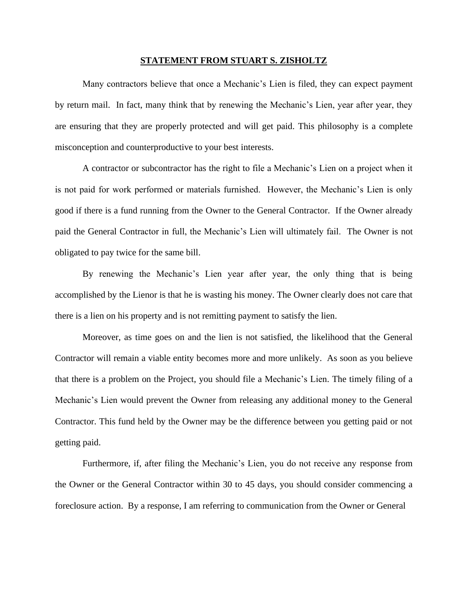## **STATEMENT FROM STUART S. ZISHOLTZ**

Many contractors believe that once a Mechanic's Lien is filed, they can expect payment by return mail. In fact, many think that by renewing the Mechanic's Lien, year after year, they are ensuring that they are properly protected and will get paid. This philosophy is a complete misconception and counterproductive to your best interests.

A contractor or subcontractor has the right to file a Mechanic's Lien on a project when it is not paid for work performed or materials furnished. However, the Mechanic's Lien is only good if there is a fund running from the Owner to the General Contractor. If the Owner already paid the General Contractor in full, the Mechanic's Lien will ultimately fail. The Owner is not obligated to pay twice for the same bill.

By renewing the Mechanic's Lien year after year, the only thing that is being accomplished by the Lienor is that he is wasting his money. The Owner clearly does not care that there is a lien on his property and is not remitting payment to satisfy the lien.

Moreover, as time goes on and the lien is not satisfied, the likelihood that the General Contractor will remain a viable entity becomes more and more unlikely. As soon as you believe that there is a problem on the Project, you should file a Mechanic's Lien. The timely filing of a Mechanic's Lien would prevent the Owner from releasing any additional money to the General Contractor. This fund held by the Owner may be the difference between you getting paid or not getting paid.

Furthermore, if, after filing the Mechanic's Lien, you do not receive any response from the Owner or the General Contractor within 30 to 45 days, you should consider commencing a foreclosure action. By a response, I am referring to communication from the Owner or General